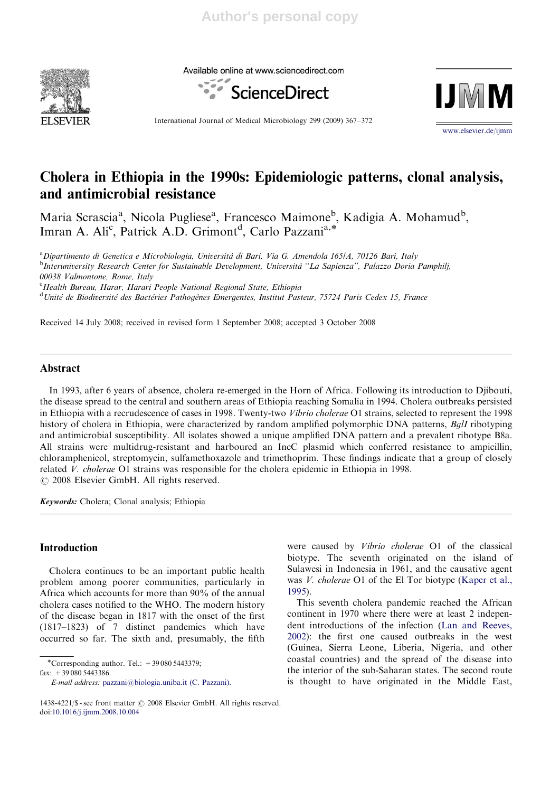

Available online at www.sciencedirect.com





International Journal of Medical Microbiology 299 (2009) 367–372

www.elsevier.de/ijmm

# Cholera in Ethiopia in the 1990s: Epidemiologic patterns, clonal analysis, and antimicrobial resistance

Maria Scrascia<sup>a</sup>, Nicola Pugliese<sup>a</sup>, Francesco Maimone<sup>b</sup>, Kadigia A. Mohamud<sup>b</sup>, Imran A. Ali<sup>c</sup>, Patrick A.D. Grimont<sup>d</sup>, Carlo Pazzani<sup>a,\*</sup>

<sup>a</sup> Dipartimento di Genetica e Microbiologia, Università di Bari, Via G. Amendola 165/A, 70126 Bari, Italy<br><sup>b</sup>Intervniversity Research Center for Systemable Development, Università <sup>14</sup>La Sapienza<sup>22</sup>, Palazzo Deria <sup>b</sup>Interuniversity Research Center for Sustainable Development, Università "La Sapienza", Palazzo Doria Pamphilj, 00038 Valmontone, Rome, Italy

<sup>c</sup> Health Bureau, Harar, Harari People National Regional State, Ethiopia

<sup>d</sup>Unité de Biodiversité des Bactéries Pathogènes Emergentes, Institut Pasteur, 75724 Paris Cedex 15, France

Received 14 July 2008; received in revised form 1 September 2008; accepted 3 October 2008

# Abstract

In 1993, after 6 years of absence, cholera re-emerged in the Horn of Africa. Following its introduction to Djibouti, the disease spread to the central and southern areas of Ethiopia reaching Somalia in 1994. Cholera outbreaks persisted in Ethiopia with a recrudescence of cases in 1998. Twenty-two Vibrio cholerae O1 strains, selected to represent the 1998 history of cholera in Ethiopia, were characterized by random amplified polymorphic DNA patterns, BglI ribotyping and antimicrobial susceptibility. All isolates showed a unique amplified DNA pattern and a prevalent ribotype B8a. All strains were multidrug-resistant and harboured an IncC plasmid which conferred resistance to ampicillin, chloramphenicol, streptomycin, sulfamethoxazole and trimethoprim. These findings indicate that a group of closely related V. cholerae O1 strains was responsible for the cholera epidemic in Ethiopia in 1998.  $\odot$  2008 Elsevier GmbH. All rights reserved.

Keywords: Cholera; Clonal analysis; Ethiopia

## Introduction

Cholera continues to be an important public health problem among poorer communities, particularly in Africa which accounts for more than 90% of the annual cholera cases notified to the WHO. The modern history of the disease began in 1817 with the onset of the first (1817–1823) of 7 distinct pandemics which have occurred so far. The sixth and, presumably, the fifth

 $\overline{\text{''Corresponding author}}$ . Tel.:  $+390805443379$ ;

fax:  $+390805443386$ .

were caused by Vibrio cholerae O1 of the classical biotype. The seventh originated on the island of Sulawesi in Indonesia in 1961, and the causative agent was *V. cholerae* O1 of the El Tor biotype (Kaper et al., 1995).

This seventh cholera pandemic reached the African continent in 1970 where there were at least 2 independent introductions of the infection (Lan and Reeves, 2002): the first one caused outbreaks in the west (Guinea, Sierra Leone, Liberia, Nigeria, and other coastal countries) and the spread of the disease into the interior of the sub-Saharan states. The second route is thought to have originated in the Middle East,

E-mail address: pazzani@biologia.uniba.it (C. Pazzani).

<sup>1438-4221/\$ -</sup> see front matter  $\odot$  2008 Elsevier GmbH. All rights reserved. doi:10.1016/j.ijmm.2008.10.004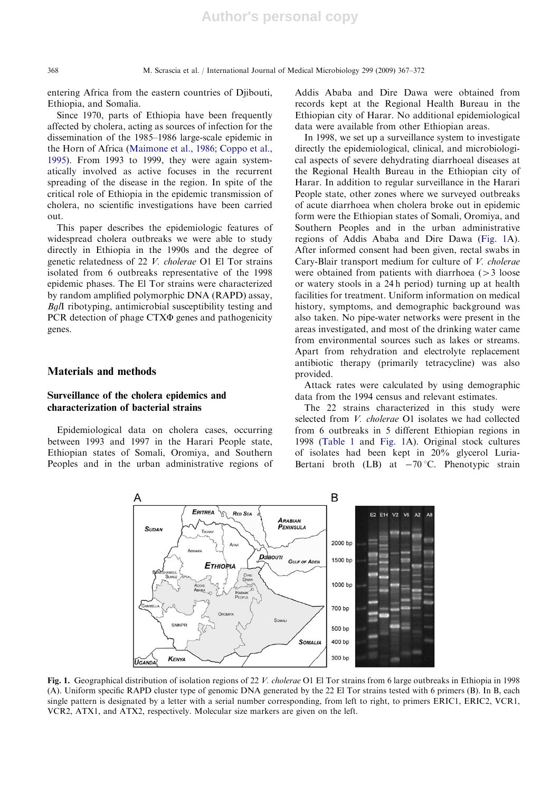entering Africa from the eastern countries of Djibouti, Ethiopia, and Somalia.

Since 1970, parts of Ethiopia have been frequently affected by cholera, acting as sources of infection for the dissemination of the 1985–1986 large-scale epidemic in the Horn of Africa (Maimone et al., 1986; Coppo et al., 1995). From 1993 to 1999, they were again systematically involved as active focuses in the recurrent spreading of the disease in the region. In spite of the critical role of Ethiopia in the epidemic transmission of cholera, no scientific investigations have been carried out.

This paper describes the epidemiologic features of widespread cholera outbreaks we were able to study directly in Ethiopia in the 1990s and the degree of genetic relatedness of 22 V. cholerae O1 El Tor strains isolated from 6 outbreaks representative of the 1998 epidemic phases. The El Tor strains were characterized by random amplified polymorphic DNA (RAPD) assay, BglI ribotyping, antimicrobial susceptibility testing and PCR detection of phage CTX $\Phi$  genes and pathogenicity genes.

#### Materials and methods

# Surveillance of the cholera epidemics and characterization of bacterial strains

Epidemiological data on cholera cases, occurring between 1993 and 1997 in the Harari People state, Ethiopian states of Somali, Oromiya, and Southern Peoples and in the urban administrative regions of Addis Ababa and Dire Dawa were obtained from records kept at the Regional Health Bureau in the Ethiopian city of Harar. No additional epidemiological data were available from other Ethiopian areas.

In 1998, we set up a surveillance system to investigate directly the epidemiological, clinical, and microbiological aspects of severe dehydrating diarrhoeal diseases at the Regional Health Bureau in the Ethiopian city of Harar. In addition to regular surveillance in the Harari People state, other zones where we surveyed outbreaks of acute diarrhoea when cholera broke out in epidemic form were the Ethiopian states of Somali, Oromiya, and Southern Peoples and in the urban administrative regions of Addis Ababa and Dire Dawa (Fig. 1A). After informed consent had been given, rectal swabs in Cary-Blair transport medium for culture of V. cholerae were obtained from patients with diarrhoea  $(>3 \text{ loose})$ or watery stools in a 24 h period) turning up at health facilities for treatment. Uniform information on medical history, symptoms, and demographic background was also taken. No pipe-water networks were present in the areas investigated, and most of the drinking water came from environmental sources such as lakes or streams. Apart from rehydration and electrolyte replacement antibiotic therapy (primarily tetracycline) was also provided.

Attack rates were calculated by using demographic data from the 1994 census and relevant estimates.

The 22 strains characterized in this study were selected from V. cholerae O1 isolates we had collected from 6 outbreaks in 5 different Ethiopian regions in 1998 (Table 1 and Fig. 1A). Original stock cultures of isolates had been kept in 20% glycerol Luria-Bertani broth (LB) at  $-70^{\circ}$ C. Phenotypic strain



Fig. 1. Geographical distribution of isolation regions of 22 V. cholerae O1 El Tor strains from 6 large outbreaks in Ethiopia in 1998 (A). Uniform specific RAPD cluster type of genomic DNA generated by the 22 El Tor strains tested with 6 primers (B). In B, each single pattern is designated by a letter with a serial number corresponding, from left to right, to primers ERIC1, ERIC2, VCR1, VCR2, ATX1, and ATX2, respectively. Molecular size markers are given on the left.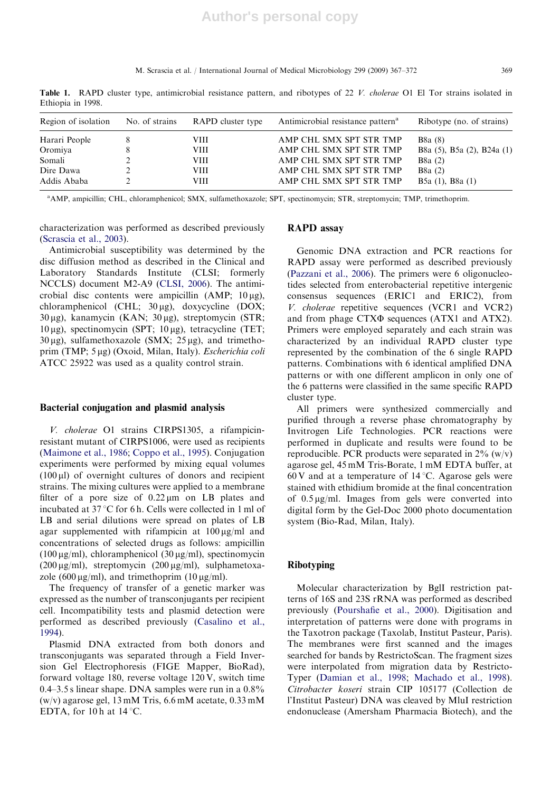M. Scrascia et al. / International Journal of Medical Microbiology 299 (2009) 367–372 369

Region of isolation No. of strains RAPD cluster type Antimicrobial resistance pattern<sup>a</sup> Ribotype (no. of strains) Harari People 8 VIII AMP CHL SMX SPT STR TMP B8a (8) Oromiya 8 VIII AMP CHL SMX SPT STR TMP B8a (5), B5a (2), B24a (1) Somali 2 VIII AMP CHL SMX SPT STR TMP B8a (2)<br>Dire Dawa 2 VIII AMP CHL SMX SPT STR TMP B8a (2) Dire Dawa 2 VIII AMP CHL SMX SPT STR TMP B8a (2) Addis Ababa 2 VIII AMP CHL SMX SPT STR TMP B5a (1), B8a (1)

Table 1. RAPD cluster type, antimicrobial resistance pattern, and ribotypes of 22 V. cholerae O1 El Tor strains isolated in Ethiopia in 1998.

a AMP, ampicillin; CHL, chloramphenicol; SMX, sulfamethoxazole; SPT, spectinomycin; STR, streptomycin; TMP, trimethoprim.

characterization was performed as described previously (Scrascia et al., 2003).

Antimicrobial susceptibility was determined by the disc diffusion method as described in the Clinical and Laboratory Standards Institute (CLSI; formerly NCCLS) document M2-A9 (CLSI, 2006). The antimicrobial disc contents were ampicillin  $(AMP; 10 \mu g)$ , chloramphenicol (CHL;  $30 \mu$ g), doxycycline (DOX;  $30 \,\mu$ g), kanamycin (KAN;  $30 \,\mu$ g), streptomycin (STR;  $10 \,\mu$ g), spectinomycin (SPT;  $10 \,\mu$ g), tetracycline (TET;  $30 \,\mu$ g), sulfamethoxazole (SMX;  $25 \,\mu$ g), and trimethoprim (TMP; 5 µg) (Oxoid, Milan, Italy). Escherichia coli ATCC 25922 was used as a quality control strain.

#### Bacterial conjugation and plasmid analysis

V. cholerae O1 strains CIRPS1305, a rifampicinresistant mutant of CIRPS1006, were used as recipients (Maimone et al., 1986; Coppo et al., 1995). Conjugation experiments were performed by mixing equal volumes  $(100 \,\mu\text{I})$  of overnight cultures of donors and recipient strains. The mixing cultures were applied to a membrane filter of a pore size of  $0.22 \mu m$  on LB plates and incubated at  $37^{\circ}$ C for 6 h. Cells were collected in 1 ml of LB and serial dilutions were spread on plates of LB agar supplemented with rifampicin at  $100 \mu g/ml$  and concentrations of selected drugs as follows: ampicillin (100  $\mu$ g/ml), chloramphenicol (30  $\mu$ g/ml), spectinomycin (200  $\mu$ g/ml), streptomycin (200  $\mu$ g/ml), sulphametoxazole (600  $\mu$ g/ml), and trimethoprim (10  $\mu$ g/ml).

The frequency of transfer of a genetic marker was expressed as the number of transconjugants per recipient cell. Incompatibility tests and plasmid detection were performed as described previously (Casalino et al., 1994).

Plasmid DNA extracted from both donors and transconjugants was separated through a Field Inversion Gel Electrophoresis (FIGE Mapper, BioRad), forward voltage 180, reverse voltage 120 V, switch time 0.4–3.5 s linear shape. DNA samples were run in a 0.8% (w/v) agarose gel, 13 mM Tris, 6.6 mM acetate, 0.33 mM EDTA, for 10 h at  $14^{\circ}$ C.

#### RAPD assay

Genomic DNA extraction and PCR reactions for RAPD assay were performed as described previously (Pazzani et al., 2006). The primers were 6 oligonucleotides selected from enterobacterial repetitive intergenic consensus sequences (ERIC1 and ERIC2), from V. cholerae repetitive sequences (VCR1 and VCR2) and from phage CTX $\Phi$  sequences (ATX1 and ATX2). Primers were employed separately and each strain was characterized by an individual RAPD cluster type represented by the combination of the 6 single RAPD patterns. Combinations with 6 identical amplified DNA patterns or with one different amplicon in only one of the 6 patterns were classified in the same specific RAPD cluster type.

All primers were synthesized commercially and purified through a reverse phase chromatography by Invitrogen Life Technologies. PCR reactions were performed in duplicate and results were found to be reproducible. PCR products were separated in  $2\%$  (w/v) agarose gel, 45 mM Tris-Borate, 1 mM EDTA buffer, at 60 V and at a temperature of  $14^{\circ}$ C. Agarose gels were stained with ethidium bromide at the final concentration of  $0.5 \mu g/ml$ . Images from gels were converted into digital form by the Gel-Doc 2000 photo documentation system (Bio-Rad, Milan, Italy).

## Ribotyping

Molecular characterization by BglI restriction patterns of 16S and 23S rRNA was performed as described previously (Pourshafie et al., 2000). Digitisation and interpretation of patterns were done with programs in the Taxotron package (Taxolab, Institut Pasteur, Paris). The membranes were first scanned and the images searched for bands by RestrictoScan. The fragment sizes were interpolated from migration data by Restricto-Typer (Damian et al., 1998; Machado et al., 1998). Citrobacter koseri strain CIP 105177 (Collection de l'Institut Pasteur) DNA was cleaved by MluI restriction endonuclease (Amersham Pharmacia Biotech), and the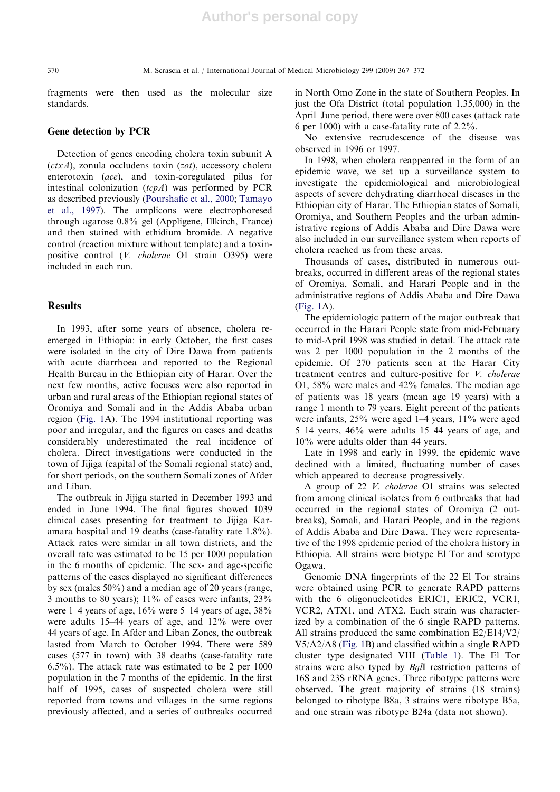fragments were then used as the molecular size standards.

#### Gene detection by PCR

Detection of genes encoding cholera toxin subunit A  $(ctxA)$ , zonula occludens toxin (zot), accessory cholera enterotoxin (ace), and toxin-coregulated pilus for intestinal colonization  $(tcpA)$  was performed by PCR as described previously (Pourshafie et al., 2000; Tamayo et al., 1997). The amplicons were electrophoresed through agarose 0.8% gel (Appligene, Illkirch, France) and then stained with ethidium bromide. A negative control (reaction mixture without template) and a toxinpositive control (V. cholerae O1 strain O395) were included in each run.

#### **Results**

In 1993, after some years of absence, cholera reemerged in Ethiopia: in early October, the first cases were isolated in the city of Dire Dawa from patients with acute diarrhoea and reported to the Regional Health Bureau in the Ethiopian city of Harar. Over the next few months, active focuses were also reported in urban and rural areas of the Ethiopian regional states of Oromiya and Somali and in the Addis Ababa urban region (Fig. 1A). The 1994 institutional reporting was poor and irregular, and the figures on cases and deaths considerably underestimated the real incidence of cholera. Direct investigations were conducted in the town of Jijiga (capital of the Somali regional state) and, for short periods, on the southern Somali zones of Afder and Liban.

The outbreak in Jijiga started in December 1993 and ended in June 1994. The final figures showed 1039 clinical cases presenting for treatment to Jijiga Karamara hospital and 19 deaths (case-fatality rate 1.8%). Attack rates were similar in all town districts, and the overall rate was estimated to be 15 per 1000 population in the 6 months of epidemic. The sex- and age-specific patterns of the cases displayed no significant differences by sex (males 50%) and a median age of 20 years (range, 3 months to 80 years);  $11\%$  of cases were infants,  $23\%$ were 1–4 years of age, 16% were 5–14 years of age, 38% were adults 15–44 years of age, and 12% were over 44 years of age. In Afder and Liban Zones, the outbreak lasted from March to October 1994. There were 589 cases (577 in town) with 38 deaths (case-fatality rate 6.5%). The attack rate was estimated to be 2 per 1000 population in the 7 months of the epidemic. In the first half of 1995, cases of suspected cholera were still reported from towns and villages in the same regions previously affected, and a series of outbreaks occurred in North Omo Zone in the state of Southern Peoples. In just the Ofa District (total population 1,35,000) in the April–June period, there were over 800 cases (attack rate 6 per 1000) with a case-fatality rate of 2.2%.

No extensive recrudescence of the disease was observed in 1996 or 1997.

In 1998, when cholera reappeared in the form of an epidemic wave, we set up a surveillance system to investigate the epidemiological and microbiological aspects of severe dehydrating diarrhoeal diseases in the Ethiopian city of Harar. The Ethiopian states of Somali, Oromiya, and Southern Peoples and the urban administrative regions of Addis Ababa and Dire Dawa were also included in our surveillance system when reports of cholera reached us from these areas.

Thousands of cases, distributed in numerous outbreaks, occurred in different areas of the regional states of Oromiya, Somali, and Harari People and in the administrative regions of Addis Ababa and Dire Dawa (Fig. 1A).

The epidemiologic pattern of the major outbreak that occurred in the Harari People state from mid-February to mid-April 1998 was studied in detail. The attack rate was 2 per 1000 population in the 2 months of the epidemic. Of 270 patients seen at the Harar City treatment centres and culture-positive for V. cholerae O1, 58% were males and 42% females. The median age of patients was 18 years (mean age 19 years) with a range 1 month to 79 years. Eight percent of the patients were infants, 25% were aged 1–4 years, 11% were aged 5–14 years, 46% were adults 15–44 years of age, and 10% were adults older than 44 years.

Late in 1998 and early in 1999, the epidemic wave declined with a limited, fluctuating number of cases which appeared to decrease progressively.

A group of 22 V. cholerae O1 strains was selected from among clinical isolates from 6 outbreaks that had occurred in the regional states of Oromiya (2 outbreaks), Somali, and Harari People, and in the regions of Addis Ababa and Dire Dawa. They were representative of the 1998 epidemic period of the cholera history in Ethiopia. All strains were biotype El Tor and serotype Ogawa.

Genomic DNA fingerprints of the 22 El Tor strains were obtained using PCR to generate RAPD patterns with the 6 oligonucleotides ERIC1, ERIC2, VCR1, VCR2, ATX1, and ATX2. Each strain was characterized by a combination of the 6 single RAPD patterns. All strains produced the same combination E2/E14/V2/ V5/A2/A8 (Fig. 1B) and classified within a single RAPD cluster type designated VIII (Table 1). The El Tor strains were also typed by BglI restriction patterns of 16S and 23S rRNA genes. Three ribotype patterns were observed. The great majority of strains (18 strains) belonged to ribotype B8a, 3 strains were ribotype B5a, and one strain was ribotype B24a (data not shown).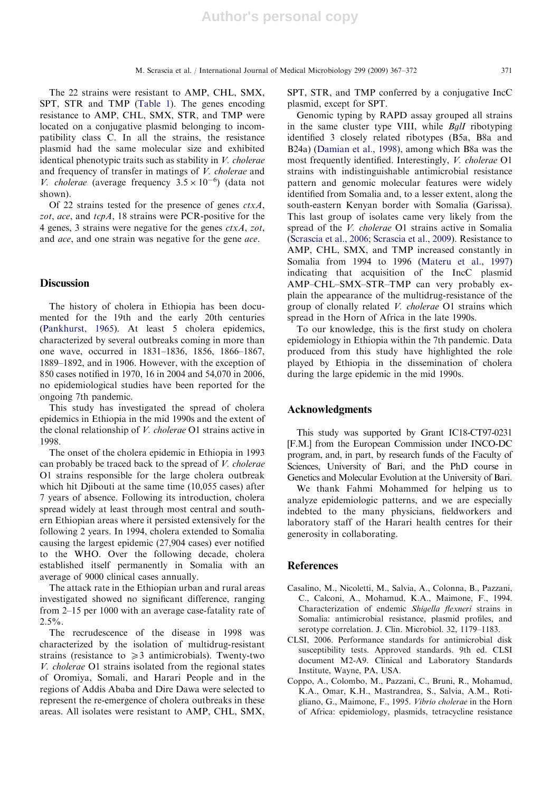The 22 strains were resistant to AMP, CHL, SMX, SPT, STR and TMP (Table 1). The genes encoding resistance to AMP, CHL, SMX, STR, and TMP were located on a conjugative plasmid belonging to incompatibility class C. In all the strains, the resistance plasmid had the same molecular size and exhibited identical phenotypic traits such as stability in V. cholerae and frequency of transfer in matings of V. cholerae and V. cholerae (average frequency  $3.5 \times 10^{-6}$ ) (data not shown).

Of 22 strains tested for the presence of genes  $ctxA$ , zot, ace, and tcpA, 18 strains were PCR-positive for the 4 genes, 3 strains were negative for the genes  $ctxA$ , zot, and ace, and one strain was negative for the gene ace.

## **Discussion**

The history of cholera in Ethiopia has been documented for the 19th and the early 20th centuries (Pankhurst, 1965). At least 5 cholera epidemics, characterized by several outbreaks coming in more than one wave, occurred in 1831–1836, 1856, 1866–1867, 1889–1892, and in 1906. However, with the exception of 850 cases notified in 1970, 16 in 2004 and 54,070 in 2006, no epidemiological studies have been reported for the ongoing 7th pandemic.

This study has investigated the spread of cholera epidemics in Ethiopia in the mid 1990s and the extent of the clonal relationship of V. cholerae O1 strains active in 1998.

The onset of the cholera epidemic in Ethiopia in 1993 can probably be traced back to the spread of V. cholerae O1 strains responsible for the large cholera outbreak which hit Djibouti at the same time (10,055 cases) after 7 years of absence. Following its introduction, cholera spread widely at least through most central and southern Ethiopian areas where it persisted extensively for the following 2 years. In 1994, cholera extended to Somalia causing the largest epidemic (27,904 cases) ever notified to the WHO. Over the following decade, cholera established itself permanently in Somalia with an average of 9000 clinical cases annually.

The attack rate in the Ethiopian urban and rural areas investigated showed no significant difference, ranging from 2–15 per 1000 with an average case-fatality rate of  $2.5\%$ .

The recrudescence of the disease in 1998 was characterized by the isolation of multidrug-resistant strains (resistance to  $\geq 3$  antimicrobials). Twenty-two V. cholerae O1 strains isolated from the regional states of Oromiya, Somali, and Harari People and in the regions of Addis Ababa and Dire Dawa were selected to represent the re-emergence of cholera outbreaks in these areas. All isolates were resistant to AMP, CHL, SMX, SPT, STR, and TMP conferred by a conjugative IncC plasmid, except for SPT.

Genomic typing by RAPD assay grouped all strains in the same cluster type VIII, while BglI ribotyping identified 3 closely related ribotypes (B5a, B8a and B24a) (Damian et al., 1998), among which B8a was the most frequently identified. Interestingly, V. cholerae O1 strains with indistinguishable antimicrobial resistance pattern and genomic molecular features were widely identified from Somalia and, to a lesser extent, along the south-eastern Kenyan border with Somalia (Garissa). This last group of isolates came very likely from the spread of the V. cholerae O1 strains active in Somalia (Scrascia et al., 2006; Scrascia et al., 2009). Resistance to AMP, CHL, SMX, and TMP increased constantly in Somalia from 1994 to 1996 (Materu et al., 1997) indicating that acquisition of the IncC plasmid AMP–CHL–SMX–STR–TMP can very probably explain the appearance of the multidrug-resistance of the group of clonally related V. cholerae O1 strains which spread in the Horn of Africa in the late 1990s.

To our knowledge, this is the first study on cholera epidemiology in Ethiopia within the 7th pandemic. Data produced from this study have highlighted the role played by Ethiopia in the dissemination of cholera during the large epidemic in the mid 1990s.

## Acknowledgments

This study was supported by Grant IC18-CT97-0231 [F.M.] from the European Commission under INCO-DC program, and, in part, by research funds of the Faculty of Sciences, University of Bari, and the PhD course in Genetics and Molecular Evolution at the University of Bari.

We thank Fahmi Mohammed for helping us to analyze epidemiologic patterns, and we are especially indebted to the many physicians, fieldworkers and laboratory staff of the Harari health centres for their generosity in collaborating.

#### **References**

- Casalino, M., Nicoletti, M., Salvia, A., Colonna, B., Pazzani, C., Calconi, A., Mohamud, K.A., Maimone, F., 1994. Characterization of endemic Shigella flexneri strains in Somalia: antimicrobial resistance, plasmid profiles, and serotype correlation. J. Clin. Microbiol. 32, 1179–1183.
- CLSI, 2006. Performance standards for antimicrobial disk susceptibility tests. Approved standards. 9th ed. CLSI document M2-A9. Clinical and Laboratory Standards Institute, Wayne, PA, USA.
- Coppo, A., Colombo, M., Pazzani, C., Bruni, R., Mohamud, K.A., Omar, K.H., Mastrandrea, S., Salvia, A.M., Rotigliano, G., Maimone, F., 1995. Vibrio cholerae in the Horn of Africa: epidemiology, plasmids, tetracycline resistance